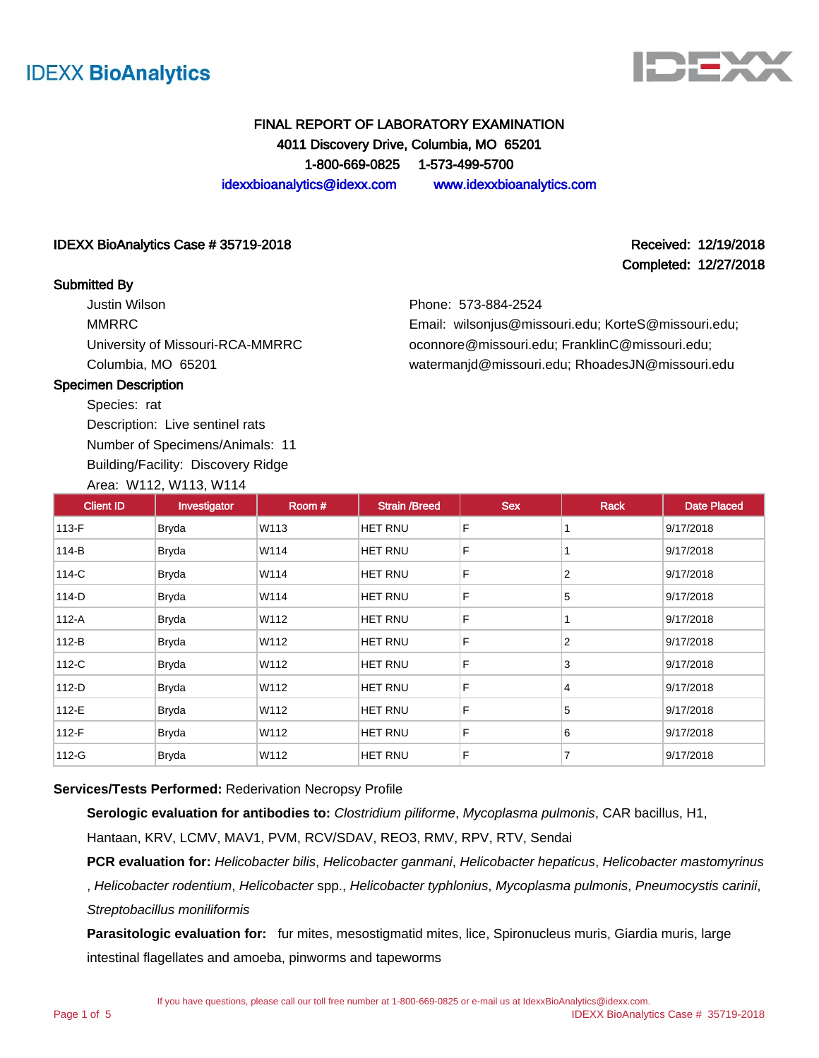



## FINAL REPORT OF LABORATORY EXAMINATION 4011 Discovery Drive, Columbia, MO 65201 1-800-669-0825 1-573-499-5700 idexxbioanalytics@idexx.com www.idexxbioanalytics.com

### IDEXX BioAnalytics Case # 35719-2018 Received: 12/19/2018

### Submitted By

Justin Wilson MMRRC University of Missouri-RCA-MMRRC Columbia, MO 65201

Completed: 12/27/2018

Phone: 573-884-2524

Email: wilsonjus@missouri.edu; KorteS@missouri.edu; oconnore@missouri.edu; FranklinC@missouri.edu; watermanjd@missouri.edu; RhoadesJN@missouri.edu

### Specimen Description

Species: rat Description: Live sentinel rats Number of Specimens/Animals: 11 Building/Facility: Discovery Ridge Area: W112, W113, W114

Client ID | Investigator | Room # | Strain /Breed | Sex | Rack | Date Placed 113-F Bryda W113 HET RNU F 1 9/17/2018 114-B Bryda W114 HET RNU F 1 9/17/2018 114-C Bryda W114 HET RNU F 2 9/17/2018 114-D Bryda W114 HET RNU F 5 9/17/2018 112-A Bryda W112 HET RNU F 1 9/17/2018 112-B Bryda W112 HET RNU F 2 9/17/2018 112-C Bryda W112 HET RNU F 3 9/17/2018 112-D Bryda W112 HET RNU F 4 9/17/2018 112-E Bryda W112 HET RNU F 5 9/17/2018 112-F Bryda W112 HET RNU F 6 9/17/2018 112-G Bryda W112 HET RNU F 7 9/17/2018

## **Services/Tests Performed:** Rederivation Necropsy Profile

**Serologic evaluation for antibodies to:** Clostridium piliforme, Mycoplasma pulmonis, CAR bacillus, H1,

Hantaan, KRV, LCMV, MAV1, PVM, RCV/SDAV, REO3, RMV, RPV, RTV, Sendai

**PCR evaluation for:** Helicobacter bilis, Helicobacter ganmani, Helicobacter hepaticus, Helicobacter mastomyrinus , Helicobacter rodentium, Helicobacter spp., Helicobacter typhlonius, Mycoplasma pulmonis, Pneumocystis carinii, Streptobacillus moniliformis

**Parasitologic evaluation for:** fur mites, mesostigmatid mites, lice, Spironucleus muris, Giardia muris, large intestinal flagellates and amoeba, pinworms and tapeworms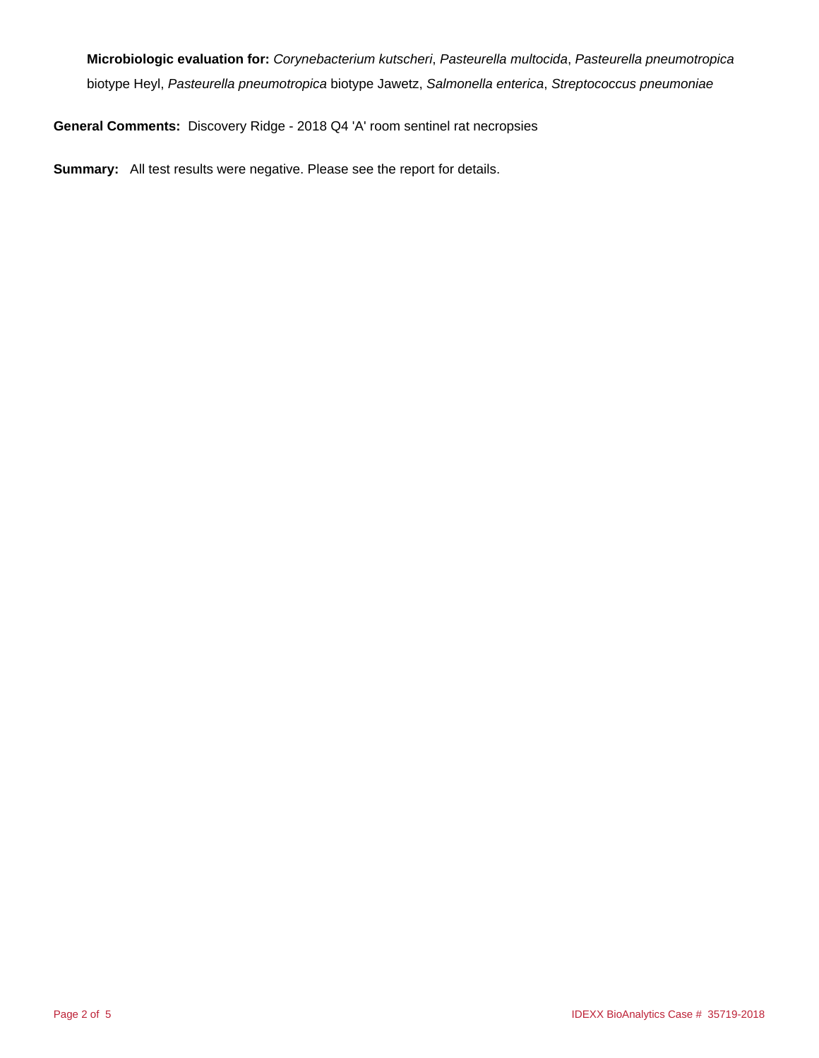**Microbiologic evaluation for:** Corynebacterium kutscheri, Pasteurella multocida, Pasteurella pneumotropica biotype Heyl, Pasteurella pneumotropica biotype Jawetz, Salmonella enterica, Streptococcus pneumoniae

**General Comments:** Discovery Ridge - 2018 Q4 'A' room sentinel rat necropsies

**Summary:** All test results were negative. Please see the report for details.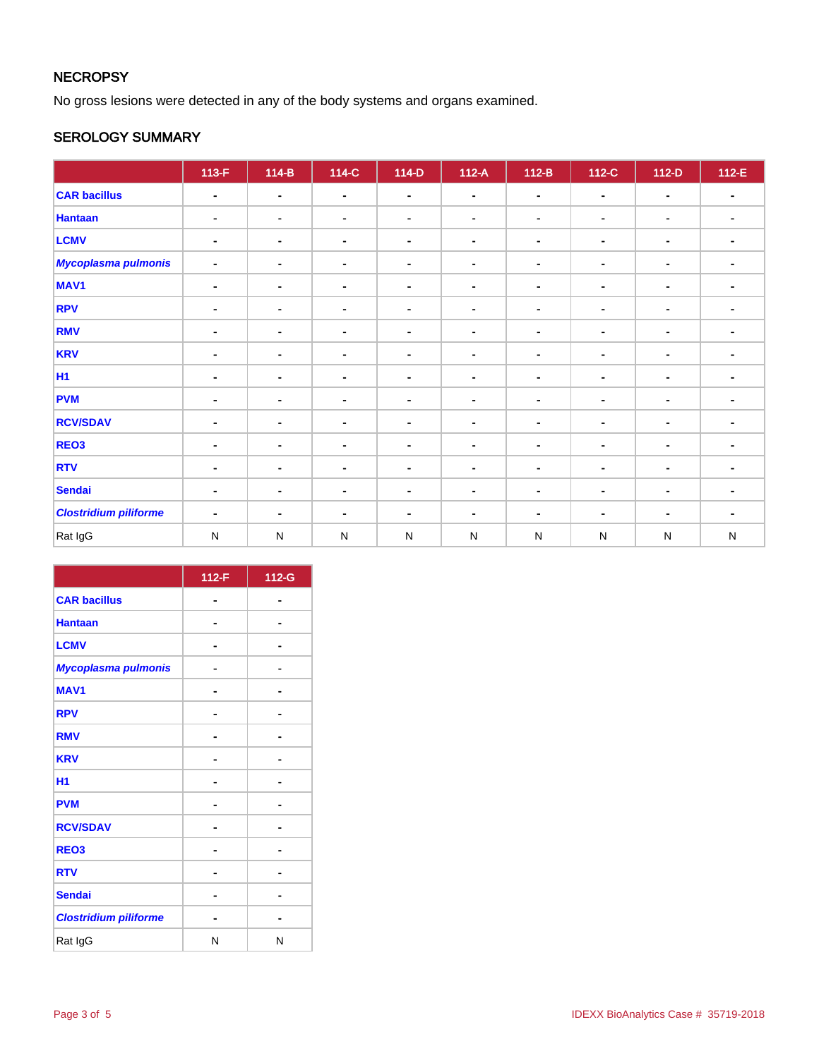# **NECROPSY**

No gross lesions were detected in any of the body systems and organs examined.

## SEROLOGY SUMMARY

|                              | $113-F$        | $114-B$        | $114-C$        | $114-D$        | $112-A$        | $112-B$        | 112-C          | $112-D$        | $112-E$        |
|------------------------------|----------------|----------------|----------------|----------------|----------------|----------------|----------------|----------------|----------------|
| <b>CAR bacillus</b>          | $\blacksquare$ | $\blacksquare$ | $\blacksquare$ | $\blacksquare$ | $\blacksquare$ | $\blacksquare$ | $\blacksquare$ | $\blacksquare$ | $\blacksquare$ |
| <b>Hantaan</b>               | $\blacksquare$ | $\blacksquare$ | $\blacksquare$ | $\blacksquare$ | $\blacksquare$ | $\blacksquare$ | ۰              | $\blacksquare$ | $\blacksquare$ |
| <b>LCMV</b>                  | $\blacksquare$ | $\blacksquare$ | $\blacksquare$ | $\blacksquare$ | $\blacksquare$ | $\blacksquare$ | $\blacksquare$ | $\blacksquare$ | $\blacksquare$ |
| <b>Mycoplasma pulmonis</b>   | $\blacksquare$ | $\blacksquare$ | $\blacksquare$ | $\blacksquare$ | $\blacksquare$ | $\blacksquare$ | $\blacksquare$ | $\blacksquare$ | $\blacksquare$ |
| MAV <sub>1</sub>             | $\blacksquare$ | $\blacksquare$ | $\blacksquare$ | $\blacksquare$ | $\blacksquare$ | $\blacksquare$ | $\blacksquare$ | $\blacksquare$ |                |
| <b>RPV</b>                   | $\blacksquare$ | $\blacksquare$ | $\blacksquare$ | $\blacksquare$ | ۰              | $\blacksquare$ | ۰              | $\blacksquare$ | $\blacksquare$ |
| <b>RMV</b>                   | $\blacksquare$ | $\blacksquare$ | $\blacksquare$ | $\blacksquare$ | ٠              | $\blacksquare$ | ٠              | $\blacksquare$ | $\blacksquare$ |
| <b>KRV</b>                   | $\blacksquare$ | $\blacksquare$ | $\blacksquare$ | $\blacksquare$ | $\blacksquare$ | $\blacksquare$ | $\blacksquare$ | $\blacksquare$ | $\blacksquare$ |
| <b>H1</b>                    | ۰              | $\blacksquare$ | $\blacksquare$ | $\blacksquare$ | ۰              | $\blacksquare$ | $\blacksquare$ | $\blacksquare$ | $\blacksquare$ |
| <b>PVM</b>                   | $\blacksquare$ | $\blacksquare$ | $\blacksquare$ | $\blacksquare$ | $\blacksquare$ | $\blacksquare$ | $\blacksquare$ | $\blacksquare$ |                |
| <b>RCV/SDAV</b>              | $\blacksquare$ | $\blacksquare$ | $\blacksquare$ | $\blacksquare$ | ٠              | $\blacksquare$ | $\blacksquare$ | $\blacksquare$ | $\blacksquare$ |
| REO <sub>3</sub>             | $\blacksquare$ | $\blacksquare$ | $\blacksquare$ | $\blacksquare$ | ۰              | $\blacksquare$ | ۰              | $\blacksquare$ | $\blacksquare$ |
| <b>RTV</b>                   | $\blacksquare$ | $\blacksquare$ | $\blacksquare$ | $\blacksquare$ | $\blacksquare$ | $\blacksquare$ | $\blacksquare$ | $\blacksquare$ |                |
| <b>Sendai</b>                | ۰              | $\blacksquare$ | $\blacksquare$ | $\blacksquare$ | $\blacksquare$ | $\blacksquare$ | $\blacksquare$ | $\blacksquare$ | $\blacksquare$ |
| <b>Clostridium piliforme</b> | $\blacksquare$ | $\blacksquare$ | $\blacksquare$ | $\blacksquare$ | ۰              | $\blacksquare$ | $\blacksquare$ | $\blacksquare$ | $\blacksquare$ |
| Rat IgG                      | $\mathsf{N}$   | ${\sf N}$      | $\mathsf{N}$   | ${\sf N}$      | ${\sf N}$      | ${\sf N}$      | ${\sf N}$      | ${\sf N}$      | ${\sf N}$      |

|                              | 112-F | 112-G |
|------------------------------|-------|-------|
| <b>CAR bacillus</b>          |       |       |
| <b>Hantaan</b>               |       |       |
| <b>LCMV</b>                  |       |       |
| Mycoplasma pulmonis          |       |       |
| <b>MAV1</b>                  |       |       |
| <b>RPV</b>                   |       |       |
| <b>RMV</b>                   |       |       |
| <b>KRV</b>                   |       |       |
| H1                           |       |       |
| <b>PVM</b>                   |       |       |
| <b>RCV/SDAV</b>              |       |       |
| REO <sub>3</sub>             |       |       |
| <b>RTV</b>                   |       |       |
| <b>Sendai</b>                |       |       |
| <b>Clostridium piliforme</b> |       |       |
| Rat IgG                      | N     | N     |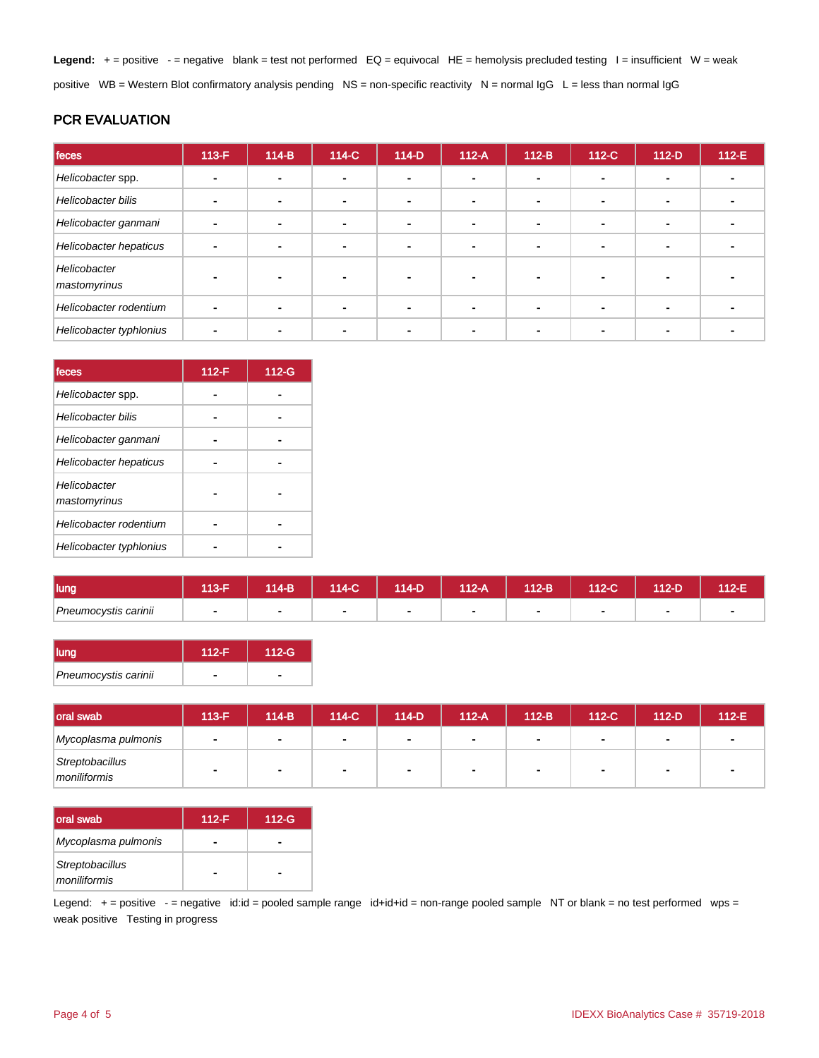Legend: + = positive - = negative blank = test not performed EQ = equivocal HE = hemolysis precluded testing l = insufficient W = weak positive WB = Western Blot confirmatory analysis pending NS = non-specific reactivity N = normal  $\lg G$  L = less than normal  $\lg G$ 

## PCR EVALUATION

| feces                        | $113-F$ | $114-B$ | 114-C          | $114-D$        | $112-A$ | $112-B$                  | 112-C | $112-D$        | $112-E$ |
|------------------------------|---------|---------|----------------|----------------|---------|--------------------------|-------|----------------|---------|
| Helicobacter spp.            |         |         | -              |                |         |                          |       |                |         |
| Helicobacter bilis           |         |         | -              | ۰.             |         | $\overline{\phantom{a}}$ | ۰     | $\blacksquare$ |         |
| Helicobacter ganmani         |         |         | $\blacksquare$ | $\blacksquare$ |         |                          |       | $\blacksquare$ |         |
| Helicobacter hepaticus       |         |         |                | ۰              |         |                          |       |                |         |
| Helicobacter<br>mastomyrinus |         |         |                | -              |         |                          |       |                |         |
| Helicobacter rodentium       |         |         |                | $\blacksquare$ |         |                          |       | $\blacksquare$ |         |
| Helicobacter typhlonius      |         |         |                |                |         |                          |       |                |         |

| feces                        | $112-F$ | 112-G |
|------------------------------|---------|-------|
| Helicobacter spp.            |         |       |
| Helicobacter bilis           |         |       |
| Helicobacter ganmani         |         |       |
| Helicobacter hepaticus       |         |       |
| Helicobacter<br>mastomyrinus |         |       |
| Helicobacter rodentium       |         |       |
| Helicobacter typhlonius      |         |       |

| <b>lung</b>          | 40E | 114-B | 114-C | 114-D | $112-A$ | 112-B | 112-C | 12-D | $12-E$ |
|----------------------|-----|-------|-------|-------|---------|-------|-------|------|--------|
| Pneumocystis carinii | -   |       |       |       |         |       |       |      |        |

| llung                | $112-F$ | 112-G |
|----------------------|---------|-------|
| Pneumocystis carinii |         |       |

| <b>loral swab</b>               | $113-F$ | 114-B          | 114-C | 114-D                    | $112-A$        | $112-B$ | $112-C$        | 112-D | $112-E$ |
|---------------------------------|---------|----------------|-------|--------------------------|----------------|---------|----------------|-------|---------|
| Mycoplasma pulmonis             |         | $\blacksquare$ | . .   | $\blacksquare$           | $\blacksquare$ |         | $\blacksquare$ |       |         |
| Streptobacillus<br>moniliformis |         | $\sim$         | -     | $\overline{\phantom{a}}$ |                |         |                |       |         |

| loral swab                      | $112-F$ | $112-G$ |
|---------------------------------|---------|---------|
| Mycoplasma pulmonis             |         |         |
| Streptobacillus<br>moniliformis |         |         |

Legend: + = positive - = negative id:id = pooled sample range id+id+id = non-range pooled sample NT or blank = no test performed wps = weak positive Testing in progress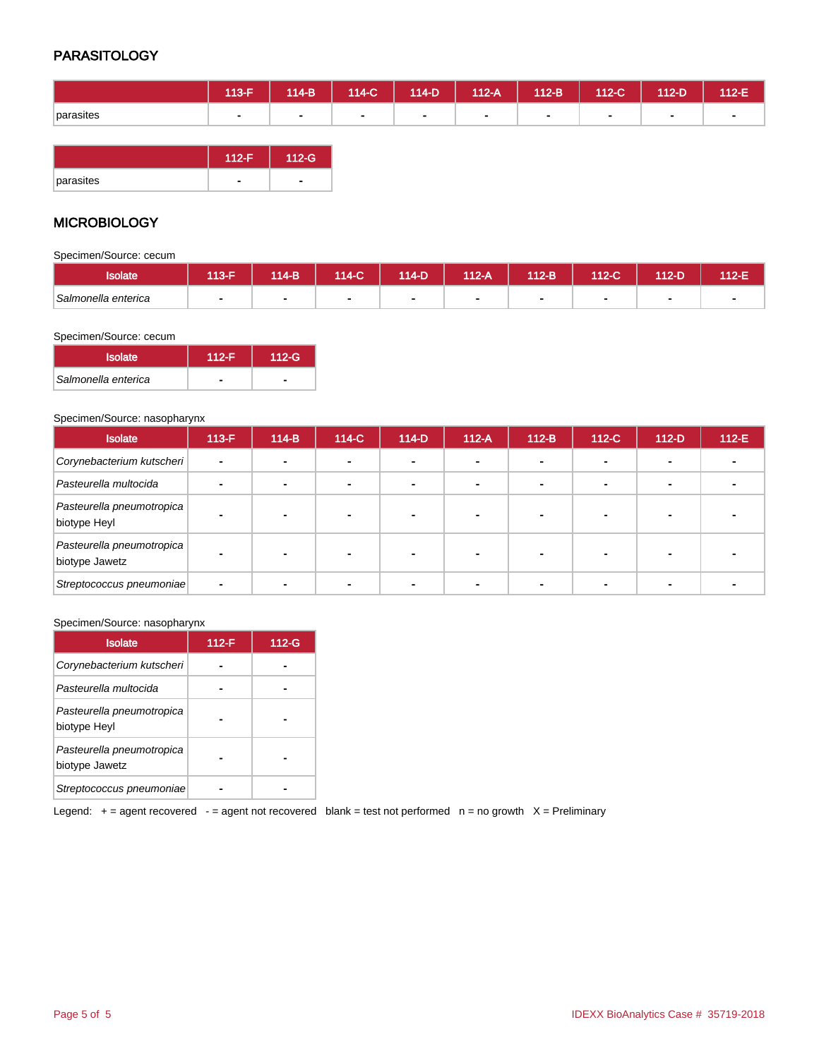## **PARASITOLOGY**

|           | 113-F/ | $114-B$      | $114-C$ | $114-D$ | $112-A$        | $112-B$ | $112-C$ | 112-D | 112-E          |
|-----------|--------|--------------|---------|---------|----------------|---------|---------|-------|----------------|
| parasites | . .    | $\mathbf{r}$ | ٠       |         | $\blacksquare$ | $\sim$  | $\sim$  |       | $\blacksquare$ |
|           |        |              |         |         |                |         |         |       |                |

|           | $112-F$ | 112-G' |
|-----------|---------|--------|
| parasites |         |        |

## **MICROBIOLOGY**

Specimen/Source: cecum

| <b>Isolate</b>      | $13-F$ | 114-B                    | 114-C' | 114-D | 112-A | 112-B | 112-C'         | 112-D | 40F<br>145 |
|---------------------|--------|--------------------------|--------|-------|-------|-------|----------------|-------|------------|
| Salmonella enterica |        | $\overline{\phantom{0}}$ |        |       |       |       | $\blacksquare$ |       |            |

### Specimen/Source: cecum

| <b>Isolate</b>      | $112-F$                  | $112-G$ |
|---------------------|--------------------------|---------|
| Salmonella enterica | $\overline{\phantom{a}}$ |         |

### Specimen/Source: nasopharynx

| <b>Isolate</b>                              | $113-F$ | $114-B$                  | 114-C                    | $114-D$ | $112-A$                  | $112-B$        | 112-C | $112-D$ | $112-E$ |
|---------------------------------------------|---------|--------------------------|--------------------------|---------|--------------------------|----------------|-------|---------|---------|
| Corynebacterium kutscheri                   |         | $\overline{\phantom{0}}$ | $\overline{\phantom{a}}$ |         | ۰                        | -              |       |         |         |
| Pasteurella multocida                       |         |                          | $\blacksquare$           |         | $\overline{\phantom{0}}$ | $\blacksquare$ |       |         |         |
| Pasteurella pneumotropica<br>biotype Heyl   |         |                          |                          |         |                          |                |       |         |         |
| Pasteurella pneumotropica<br>biotype Jawetz |         | $\overline{\phantom{0}}$ |                          |         |                          |                |       |         |         |
| Streptococcus pneumoniae                    |         |                          |                          |         |                          |                |       |         |         |

#### Specimen/Source: nasopharynx

| <b>Isolate</b>                              | 112-F | 112-G |
|---------------------------------------------|-------|-------|
| Corynebacterium kutscheri                   |       |       |
| Pasteurella multocida                       |       |       |
| Pasteurella pneumotropica<br>biotype Heyl   |       |       |
| Pasteurella pneumotropica<br>biotype Jawetz |       |       |
| Streptococcus pneumoniae                    |       |       |

Legend:  $+$  = agent recovered - = agent not recovered blank = test not performed  $n$  = no growth  $X$  = Preliminary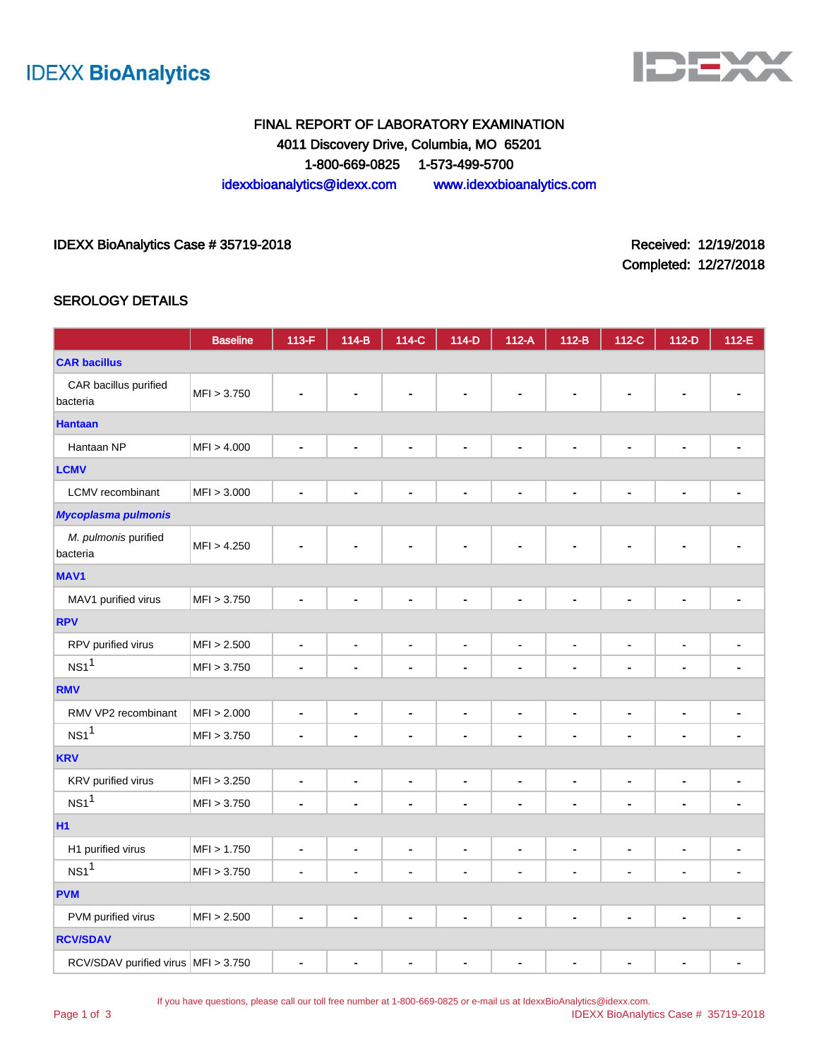



# FINAL REPORT OF LABORATORY EXAMINATION 4011 Discovery Drive, Columbia, MO 65201 1-800-669-0825 1-573-499-5700 idexxbioanalytics@idexx.com www.idexxbioanalytics.com

## IDEXX BioAnalytics Case # 35719-2018 **Received: 12/19/2018** Received: 12/19/2018

Completed: 12/27/2018

### SEROLOGY DETAILS

|                                       | <b>Baseline</b> | 113-F                    | 114-B                        | 114-C                        | 114-D          | $112-A$                      | $112-B$        | 112-C                        | 112-D                    | 112-E          |
|---------------------------------------|-----------------|--------------------------|------------------------------|------------------------------|----------------|------------------------------|----------------|------------------------------|--------------------------|----------------|
| <b>CAR bacillus</b>                   |                 |                          |                              |                              |                |                              |                |                              |                          |                |
| CAR bacillus purified<br>bacteria     | MFI > 3.750     |                          |                              |                              |                |                              |                |                              |                          |                |
| <b>Hantaan</b>                        |                 |                          |                              |                              |                |                              |                |                              |                          |                |
| Hantaan NP                            | MFI > 4.000     |                          |                              | $\blacksquare$               | $\blacksquare$ | $\blacksquare$               | $\blacksquare$ | $\blacksquare$               |                          |                |
| <b>LCMV</b>                           |                 |                          |                              |                              |                |                              |                |                              |                          |                |
| <b>LCMV</b> recombinant               | MFI > 3.000     |                          | ۰                            |                              |                | ۰                            | $\blacksquare$ | $\blacksquare$               | ٠                        |                |
| <b>Mycoplasma pulmonis</b>            |                 |                          |                              |                              |                |                              |                |                              |                          |                |
| M. pulmonis purified<br>bacteria      | MFI > 4.250     |                          |                              |                              |                |                              |                |                              | Ē.                       |                |
| <b>MAV1</b>                           |                 |                          |                              |                              |                |                              |                |                              |                          |                |
| MAV1 purified virus                   | MFI > 3.750     | ä,                       | $\blacksquare$               | $\blacksquare$               | $\blacksquare$ | $\qquad \qquad \blacksquare$ | ä,             | $\qquad \qquad \blacksquare$ | $\blacksquare$           | ÷,             |
| <b>RPV</b>                            |                 |                          |                              |                              |                |                              |                |                              |                          |                |
| RPV purified virus                    | MFI > 2.500     | $\blacksquare$           | $\qquad \qquad \blacksquare$ | $\qquad \qquad \blacksquare$ | $\blacksquare$ | $\blacksquare$               | $\blacksquare$ | $\blacksquare$               | ۰                        |                |
| NS1 <sup>1</sup>                      | MFI > 3.750     | $\blacksquare$           |                              | ٠                            | $\blacksquare$ | $\blacksquare$               | $\blacksquare$ | Ĭ.                           | ٠                        |                |
| <b>RMV</b>                            |                 |                          |                              |                              |                |                              |                |                              |                          |                |
| RMV VP2 recombinant                   | MFI > 2.000     | $\blacksquare$           | ٠                            | ۰                            | $\blacksquare$ | $\blacksquare$               | $\blacksquare$ | $\blacksquare$               | $\blacksquare$           | ٠              |
| NS1 <sup>1</sup>                      | MFI > 3.750     | $\overline{\phantom{a}}$ |                              | ۰                            | $\blacksquare$ | ٠                            | $\blacksquare$ | $\blacksquare$               | -                        |                |
| <b>KRV</b>                            |                 |                          |                              |                              |                |                              |                |                              |                          |                |
| KRV purified virus                    | MFI > 3.250     | $\blacksquare$           | $\blacksquare$               | $\blacksquare$               | $\blacksquare$ | $\blacksquare$               | $\blacksquare$ | $\blacksquare$               | $\blacksquare$           | $\blacksquare$ |
| $NS1$ <sup>1</sup>                    | MFI > 3.750     | $\blacksquare$           |                              | ۰                            | $\blacksquare$ | $\blacksquare$               | $\blacksquare$ | $\blacksquare$               | $\blacksquare$           |                |
| <b>H1</b>                             |                 |                          |                              |                              |                |                              |                |                              |                          |                |
| H1 purified virus                     | MFI > 1.750     | $\blacksquare$           | $\qquad \qquad \blacksquare$ | ٠                            | $\blacksquare$ | $\blacksquare$               | $\blacksquare$ | $\blacksquare$               | $\blacksquare$           | ٠              |
| NS1 <sup>1</sup>                      | MFI > 3.750     | $\blacksquare$           | ٠                            | $\blacksquare$               | $\blacksquare$ | $\blacksquare$               | $\blacksquare$ | $\blacksquare$               | $\overline{\phantom{a}}$ |                |
| <b>PVM</b>                            |                 |                          |                              |                              |                |                              |                |                              |                          |                |
| PVM purified virus                    | MFI > 2.500     | ä,                       | $\blacksquare$               | ä,                           | $\blacksquare$ | $\blacksquare$               | $\blacksquare$ | $\blacksquare$               | ä,                       |                |
| <b>RCV/SDAV</b>                       |                 |                          |                              |                              |                |                              |                |                              |                          |                |
| RCV/SDAV purified virus   MFI > 3.750 |                 | $\blacksquare$           | $\blacksquare$               | $\blacksquare$               | $\blacksquare$ | $\blacksquare$               | $\blacksquare$ | $\blacksquare$               | $\blacksquare$           | $\blacksquare$ |

If you have questions, please call our toll free number at 1-800-669-0825 or e-mail us at IdexxBioAnalytics@idexx.com.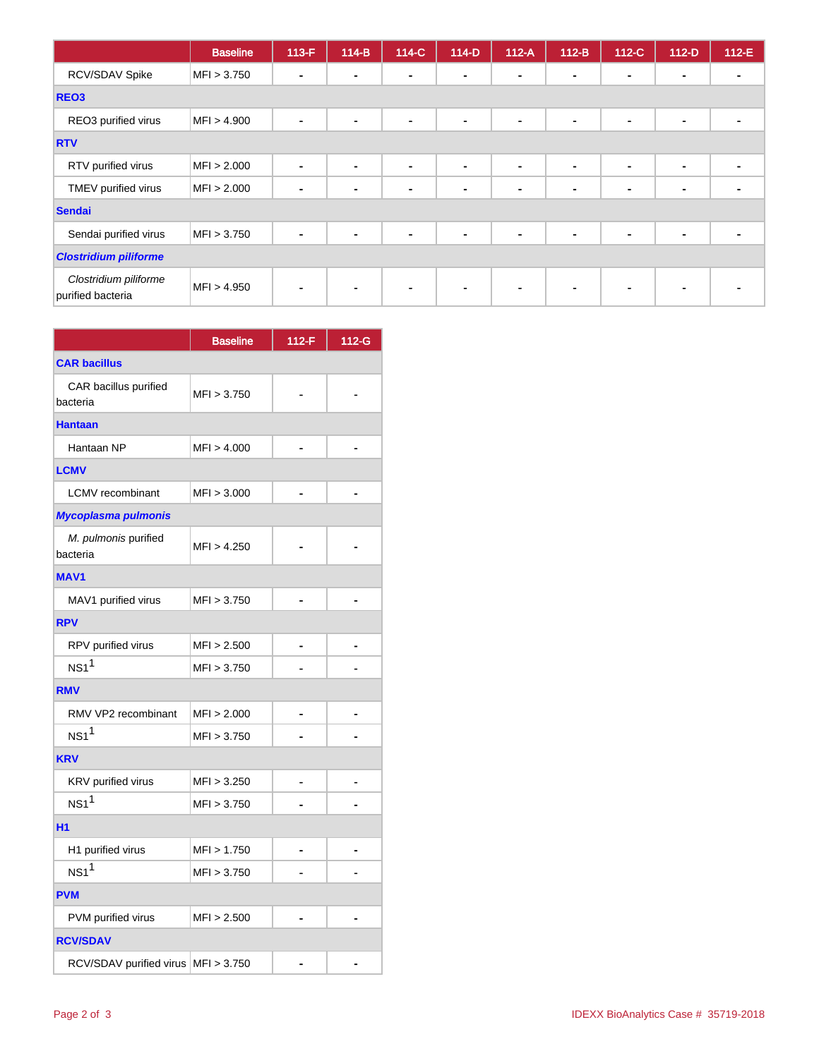|                                            | <b>Baseline</b> | $113-F$                  | $114-B$ | 114-C          | $114-D$        | $112-A$        | $112-B$        | $112-C$        | $112-D$        | 112-E |
|--------------------------------------------|-----------------|--------------------------|---------|----------------|----------------|----------------|----------------|----------------|----------------|-------|
| RCV/SDAV Spike                             | MFI > 3.750     | $\overline{\phantom{0}}$ |         | $\blacksquare$ | $\blacksquare$ | $\sim$         | $\blacksquare$ | $\blacksquare$ | $\blacksquare$ |       |
| REO <sub>3</sub>                           |                 |                          |         |                |                |                |                |                |                |       |
| REO3 purified virus                        | MFI > 4.900     |                          |         | ۰              | $\blacksquare$ | $\blacksquare$ | $\blacksquare$ | $\blacksquare$ | $\blacksquare$ |       |
| <b>RTV</b>                                 |                 |                          |         |                |                |                |                |                |                |       |
| RTV purified virus                         | MFI > 2.000     | ۰                        | ۰       | $\blacksquare$ | $\blacksquare$ | $\blacksquare$ | $\blacksquare$ | $\blacksquare$ | $\blacksquare$ |       |
| TMEV purified virus                        | MFI > 2.000     |                          |         | $\blacksquare$ | $\blacksquare$ | $\blacksquare$ | $\blacksquare$ | $\blacksquare$ | $\blacksquare$ |       |
| <b>Sendai</b>                              |                 |                          |         |                |                |                |                |                |                |       |
| Sendai purified virus                      | MFI > 3.750     |                          |         | $\blacksquare$ | $\blacksquare$ | $\blacksquare$ | $\blacksquare$ | $\blacksquare$ | $\blacksquare$ |       |
| <b>Clostridium piliforme</b>               |                 |                          |         |                |                |                |                |                |                |       |
| Clostridium piliforme<br>purified bacteria | MFI > 4.950     |                          |         | $\blacksquare$ | $\sim$         | $\sim$         | $\blacksquare$ | $\blacksquare$ | $\blacksquare$ |       |

|                                     | <b>Baseline</b> | $112-F$ | 112-G |  |  |  |  |  |
|-------------------------------------|-----------------|---------|-------|--|--|--|--|--|
| <b>CAR bacillus</b>                 |                 |         |       |  |  |  |  |  |
| CAR bacillus purified<br>bacteria   | MFI > 3.750     |         |       |  |  |  |  |  |
| <b>Hantaan</b>                      |                 |         |       |  |  |  |  |  |
| Hantaan NP                          | MFI > 4.000     |         |       |  |  |  |  |  |
| <b>LCMV</b>                         |                 |         |       |  |  |  |  |  |
| <b>LCMV</b> recombinant             | MFI > 3.000     |         |       |  |  |  |  |  |
| Mycoplasma pulmonis                 |                 |         |       |  |  |  |  |  |
| M. pulmonis purified<br>bacteria    | MFI > 4.250     |         |       |  |  |  |  |  |
| <b>MAV1</b>                         |                 |         |       |  |  |  |  |  |
| MAV1 purified virus                 | MFI > 3.750     |         |       |  |  |  |  |  |
| <b>RPV</b>                          |                 |         |       |  |  |  |  |  |
| RPV purified virus                  | MFI > 2.500     |         |       |  |  |  |  |  |
| NS1 <sup>1</sup>                    | MFI > 3.750     |         |       |  |  |  |  |  |
| <b>RMV</b>                          |                 |         |       |  |  |  |  |  |
| RMV VP2 recombinant                 | MFI > 2.000     |         |       |  |  |  |  |  |
| NS1 <sup>1</sup>                    | MFI > 3.750     |         |       |  |  |  |  |  |
| <b>KRV</b>                          |                 |         |       |  |  |  |  |  |
| KRV purified virus                  | MFI > 3.250     |         |       |  |  |  |  |  |
| NS1 <sup>1</sup>                    | MFI > 3.750     |         |       |  |  |  |  |  |
| <b>H1</b>                           |                 |         |       |  |  |  |  |  |
| H1 purified virus                   | MFI > 1.750     |         |       |  |  |  |  |  |
| NS1 <sup>1</sup>                    | MFI > 3.750     |         |       |  |  |  |  |  |
| <b>PVM</b>                          |                 |         |       |  |  |  |  |  |
| PVM purified virus                  | MFI > 2.500     |         |       |  |  |  |  |  |
| <b>RCV/SDAV</b>                     |                 |         |       |  |  |  |  |  |
| RCV/SDAV purified virus MFI > 3.750 |                 |         |       |  |  |  |  |  |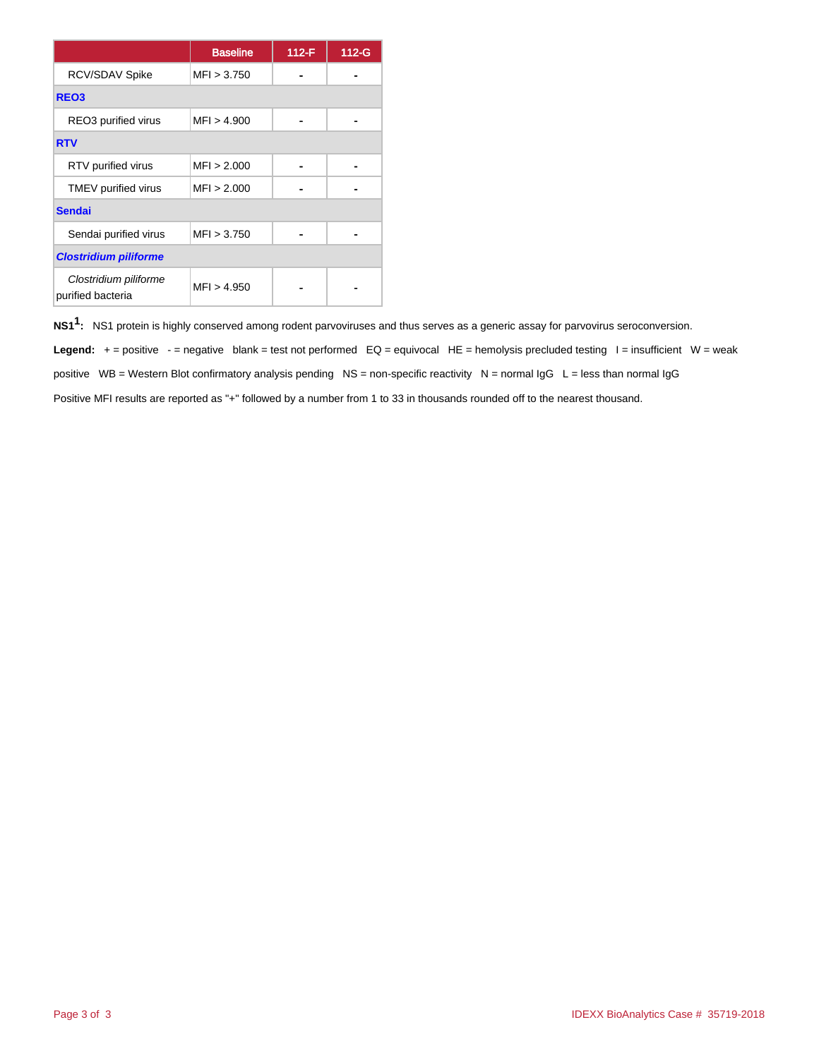|                                            | <b>Baseline</b> | 112-F | $112-G$ |
|--------------------------------------------|-----------------|-------|---------|
| RCV/SDAV Spike                             | MFI > 3.750     |       |         |
| REO <sub>3</sub>                           |                 |       |         |
| REO3 purified virus                        | MFI > 4.900     |       |         |
| <b>RTV</b>                                 |                 |       |         |
| RTV purified virus                         | MFI > 2.000     |       |         |
| TMEV purified virus                        | MFI > 2.000     |       |         |
| <b>Sendai</b>                              |                 |       |         |
| Sendai purified virus                      | MFI > 3.750     |       |         |
| <b>Clostridium piliforme</b>               |                 |       |         |
| Clostridium piliforme<br>purified bacteria | MFI > 4.950     |       |         |

**NS11 :** NS1 protein is highly conserved among rodent parvoviruses and thus serves as a generic assay for parvovirus seroconversion.

Legend: + = positive - = negative blank = test not performed EQ = equivocal HE = hemolysis precluded testing I = insufficient W = weak positive WB = Western Blot confirmatory analysis pending NS = non-specific reactivity N = normal IgG L = less than normal IgG Positive MFI results are reported as "+" followed by a number from 1 to 33 in thousands rounded off to the nearest thousand.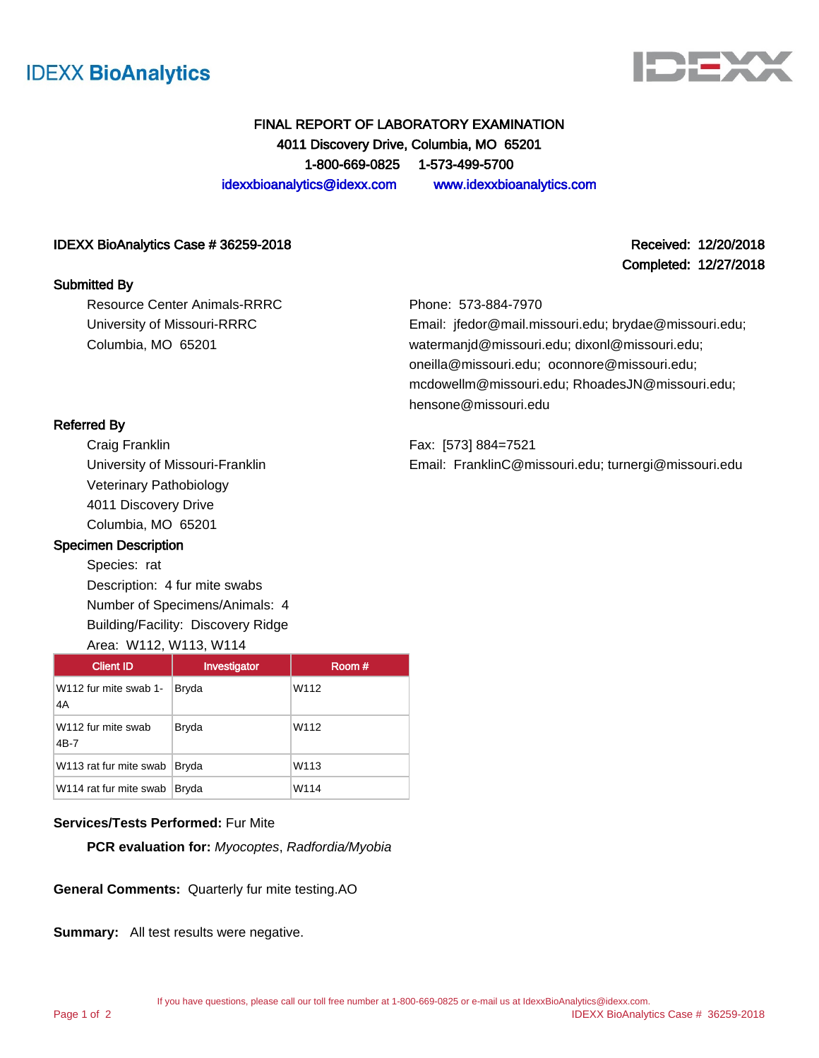



Completed: 12/27/2018

# FINAL REPORT OF LABORATORY EXAMINATION 4011 Discovery Drive, Columbia, MO 65201 1-800-669-0825 1-573-499-5700 idexxbioanalytics@idexx.com www.idexxbioanalytics.com

### IDEXX BioAnalytics Case # 36259-2018 Received: 12/20/2018

### Submitted By

Resource Center Animals-RRRC University of Missouri-RRRC Columbia, MO 65201

### Phone: 573-884-7970

Email: jfedor@mail.missouri.edu; brydae@missouri.edu; watermanjd@missouri.edu; dixonl@missouri.edu; oneilla@missouri.edu; oconnore@missouri.edu; mcdowellm@missouri.edu; RhoadesJN@missouri.edu; hensone@missouri.edu

Fax: [573] 884=7521 Email: FranklinC@missouri.edu; turnergi@missouri.edu

### Referred By

Craig Franklin University of Missouri-Franklin Veterinary Pathobiology 4011 Discovery Drive Columbia, MO 65201

### Specimen Description

Species: rat Description: 4 fur mite swabs Number of Specimens/Animals: 4 Building/Facility: Discovery Ridge

### Area: W112, W113, W114

| <b>Client ID</b>                   | Investigator | Room # |
|------------------------------------|--------------|--------|
| W112 fur mite swab 1-<br>4A        | Bryda        | W112   |
| W112 fur mite swab<br>4B-7         | Bryda        | W112   |
| W113 rat fur mite swab             | Bryda        | W113   |
| W <sub>114</sub> rat fur mite swab | Bryda        | W114   |

## **Services/Tests Performed:** Fur Mite

**PCR evaluation for:** Myocoptes, Radfordia/Myobia

**General Comments:** Quarterly fur mite testing.AO

**Summary:** All test results were negative.